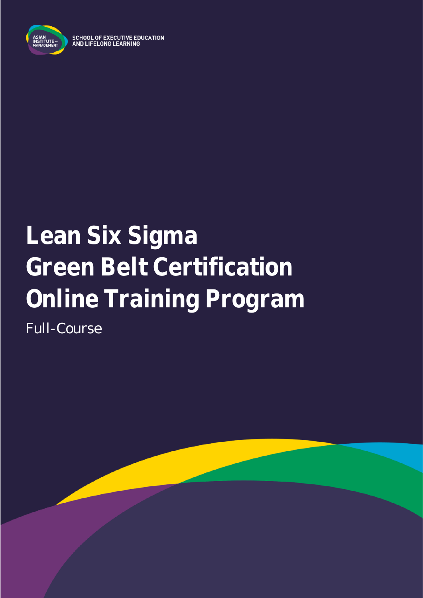

**SCHOOL OF EXECUTIVE EDUCATION** AND LIFELONG LEARNING

# **Lean Six Sigma Green Belt Certification Online Training Program** Full-Course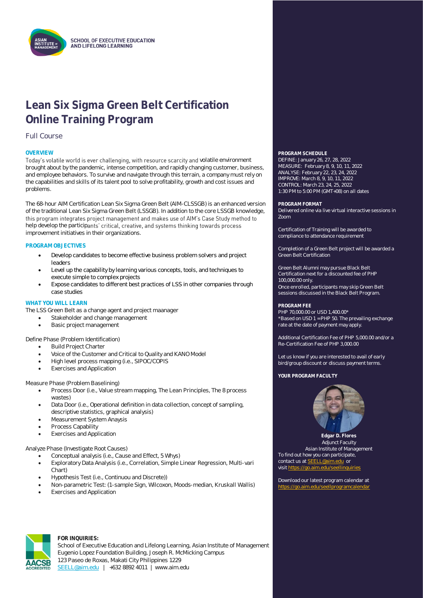

### **Lean Six Sigma Green Belt Certification Online Training Program**

### Full Course

Today's volatile world is ever challenging, with resource scarcity and volatile environment brought about by the pandemic, intense competition, and rapidly changing customer, business, and employee behaviors. To survive and navigate through this terrain, a company must rely on the capabilities and skills of its talent pool to solve profitability, growth and cost issues and problems.

The 68-hour AIM Certification Lean Six Sigma Green Belt (AIM-CLSSGB) is an enhanced version of the traditional Lean Six Sigma Green Belt (LSSGB). In addition to the core LSSGB knowledge, this program integrates project management and makes use of AIM's Case Study method to help develop the participants' critical, creative, and systems thinking towards process improvement initiatives in their organizations.

#### **PROGRAM OBJECTIVES**

- Develop candidates to become effective business problem solvers and project leaders
- Level up the capability by learning various concepts, tools, and techniques to execute simple to complex projects
- Expose candidates to different best practices of LSS in other companies through case studies

#### **WHAT YOU WILL LEARN**

The LSS Green Belt as a change agent and project maanager

- Stakeholder and change management
- Basic project management

Define Phase (Problem Identification)

- Build Project Charter
- Voice of the Customer and Critical to Quality and KANO Model
- High level process mapping (i.e., SIPOC/COPIS
- **Exercises and Application**

#### Measure Phase (Problem Baselining)

- Process Door (i.e., Value stream mapping, The Lean Principles, The 8 process wastes)
- Data Door (i.e., Operational definition in data collection, concept of sampling, descriptive statistics, graphical analysis)
- Measurement System Anaysis
- Process Capability
- **Exercises and Application**

#### Analyze Phase (Investigate Root Causes)

- Conceptual analysis (i.e., Cause and Effect, 5 Whys)
- Exploratory Data Analysis (i.e., Correlation, Simple Linear Regression, Multi-vari Chart)
- Hypothesis Test (i.e., Continuou and Discrete))
- Non-parametric Test: (1-sample Sign, Wilcoxon, Moods-median, Kruskall Wallis)
- **Exercises and Application**

# **OVERVIEW PROGRAM SCHEDULE**

DEFINE: January 26, 27, 28, 2022 MEASURE: February 8, 9, 10, 11, 2022 ANALYSE: February 22, 23, 24, 2022 IMPROVE: March 8, 9, 10, 11, 2022 CONTROL: March 23, 24, 25, 2022 1:30 PM to 5:00 PM (GMT+08) on all dates

#### **PROGRAM FORMAT**

Delivered online via live virtual interactive sessions in Zoom

Certification of Training will be awarded to compliance to attendance requirement

Completion of a Green Belt project will be awarded a Green Belt Certification

Green Belt Alumni may pursue Black Belt Certification next for a discounted fee of PHP 100,000.00 only. Once enrolled, participants may skip Green Belt sessions discussed in the Black Belt Program.

#### **PROGRAM FEE**

PHP 70,000.00 or USD 1,400.00\* \*Based on USD 1 = PHP 50. The prevailing exchange rate at the date of payment may apply.

Additional Certification Fee of PHP 5,000.00 and/or a Re-Certification Fee of PHP 3,000.00

Let us know if you are interested to avail of early bird/group discount or discuss payment terms.

YOUR PROGRAM FACULTY



**Edgar D. Flores Adjunct Faculty** Asian Institute of Management To find out how you can participate, contact us at **SEELL@aim.edu** or visit https://go

Download our latest program calendar at <https://go.aim.edu/seellprogramcalendar>



#### **FOR INQUIRIES:**

School of Executive Education and Lifelong Learning, Asian Institute of Management Eugenio Lopez Foundation Building, Joseph R. McMicking Campus 123 Paseo de Roxas, Makati City Philippines 1229 [SEELL@aim.edu](mailto:SEELL@aim.edu) | +632 8892 4011 | www.aim.edu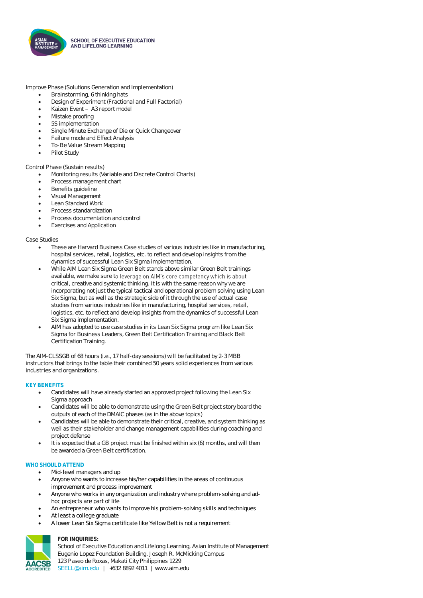

Improve Phase (Solutions Generation and Implementation)

- Brainstorming, 6 thinking hats
- Design of Experiment (Fractional and Full Factorial)
- Kaizen Event A3 report model
- Mistake proofing
- 5S implementation
- Single Minute Exchange of Die or Quick Changeover
- Failure mode and Effect Analysis
- To-Be Value Stream Mapping
- Pilot Study

#### Control Phase (Sustain results)

- Monitoring results (Variable and Discrete Control Charts)
- Process management chart
- Benefits guideline
- Visual Management
- Lean Standard Work
- Process standardization
- Process documentation and control
- Exercises and Application

#### Case Studies

- These are Harvard Business Case studies of various industries like in manufacturing, hospital services, retail, logistics, etc. to reflect and develop insights from the dynamics of successful Lean Six Sigma implementation.
- While AIM Lean Six Sigma Green Belt stands above similar Green Belt trainings available, we make sure to leverage on AIM's core competency which is about critical, creative and systemic thinking. It is with the same reason why we are incorporating not just the typical tactical and operational problem solving using Lean Six Sigma, but as well as the strategic side of it through the use of actual case studies from various industries like in manufacturing, hospital services, retail, logistics, etc. to reflect and develop insights from the dynamics of successful Lean Six Sigma implementation.
- AIM has adopted to use case studies in its Lean Six Sigma program like Lean Six Sigma for Business Leaders, Green Belt Certification Training and Black Belt Certification Training.

The AIM-CLSSGB of 68 hours (i.e., 17 half-day sessions) will be facilitated by 2-3 MBB instructors that brings to the table their combined 50 years solid experiences from various industries and organizations.

#### **KEY BENEFITS**

- Candidates will have already started an approved project following the Lean Six Sigma approach
- Candidates will be able to demonstrate using the Green Belt project story board the outputs of each of the DMAIC phases (as in the above topics)
- Candidates will be able to demonstrate their critical, creative, and system thinking as well as their stakeholder and change management capabilities during coaching and project defense
- It is expected that a GB project must be finished within six (6) months, and will then be awarded a Green Belt certification.

#### WHO SHOULD ATTEND

- Mid-level managers and up
- Anyone who wants to increase his/her capabilities in the areas of continuous improvement and process improvement
- Anyone who works in any organization and industry where problem-solving and adhoc projects are part of life
- An entrepreneur who wants to improve his problem-solving skills and techniques
- At least a college graduate
- A lower Lean Six Sigma certificate like Yellow Belt is not a requirement



#### **FOR INQUIRIES:**

School of Executive Education and Lifelong Learning, Asian Institute of Management Eugenio Lopez Foundation Building, Joseph R. McMicking Campus 123 Paseo de Roxas, Makati City Philippines 1229 [SEELL@aim.edu](mailto:SEELL@aim.edu) | +632 8892 4011 | www.aim.edu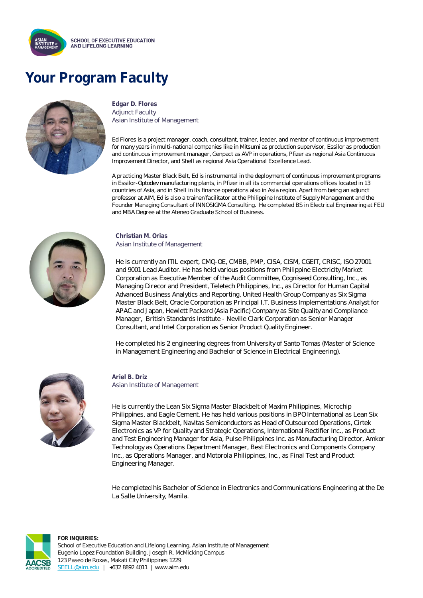

# **Your Program Faculty**



**Edgar D. Flores** Adjunct Faculty Asian Institute of Management

Ed Flores is a project manager, coach, consultant, trainer, leader, and mentor of continuous improvement for many years in multi-national companies like in Mitsumi as production supervisor, Essilor as production and continuous improvement manager, Genpact as AVP in operations, Pfizer as regional Asia Continuous Improvement Director, and Shell as regional Asia Operational Excellence Lead.

A practicing Master Black Belt, Ed is instrumental in the deployment of continuous improvement programs in Essilor-Optodev manufacturing plants, in Pfizer in all its commercial operations offices located in 13 countries of Asia, and in Shell in its finance operations also in Asia region. Apart from being an adjunct professor at AIM, Ed is also a trainer/facilitator at the Philippine Institute of Supply Management and the Founder Managing Consultant of INNOSIGMA Consulting. He completed BS in Electrical Engineering at FEU and MBA Degree at the Ateneo Graduate School of Business.



#### **Christian M. Orias** Asian Institute of Management

He is currently an ITIL expert, CMQ-OE, CMBB, PMP, CISA, CISM, CGEIT, CRISC, ISO 27001 and 9001 Lead Auditor. He has held various positions from Philippine Electricity Market Corporation as Executive Member of the Audit Committee, Cogniseed Consulting, Inc., as Managing Direcor and President, Teletech Philippines, Inc., as Director for Human Capital Advanced Business Analytics and Reporting, United Health Group Company as Six Sigma Master Black Belt, Oracle Corporation as Principal I.T. Business Implementations Analyst for APAC and Japan, Hewlett Packard (Asia Pacific) Company as Site Quality and Compliance Manager, British Standards Institute - Neville Clark Corporation as Senior Manager Consultant, and Intel Corporation as Senior Product Quality Engineer.

He completed his 2 engineering degrees from University of Santo Tomas (Master of Science in Management Engineering and Bachelor of Science in Electrical Engineering).



**Ariel B. Driz** Asian Institute of Management

He is currently the Lean Six Sigma Master Blackbelt of Maxim Philippines, Microchip Philippines, and Eagle Cement. He has held various positions in BPO International as Lean Six Sigma Master Blackbelt, Navitas Semiconductors as Head of Outsourced Operations, Cirtek Electronics as VP for Quality and Strategic Operations, International Rectifier Inc., as Product and Test Engineering Manager for Asia, Pulse Philippines Inc. as Manufacturing Director, Amkor Technology as Operations Department Manager, Best Electronics and Components Company Inc., as Operations Manager, and Motorola Philippines, Inc., as Final Test and Product Engineering Manager.

He completed his Bachelor of Science in Electronics and Communications Engineering at the De La Salle University, Manila.



**FOR INQUIRIES:** School of Executive Education and Lifelong Learning, Asian Institute of Management Eugenio Lopez Foundation Building, Joseph R. McMicking Campus 123 Paseo de Roxas, Makati City Philippines 1229 [SEELL@aim.edu](mailto:SEELL@aim.edu) | +632 8892 4011 | www.aim.edu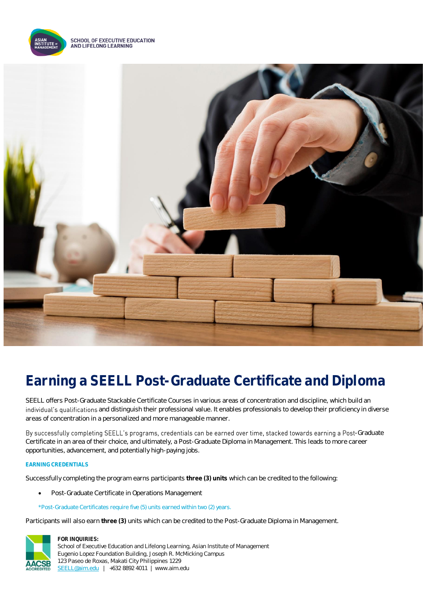

**SCHOOL OF EXECUTIVE EDUCATION** AND LIFELONG LEARNING



## **Earning a SEELL Post-Graduate Certificate and Diploma**

SEELL offers Post-Graduate Stackable Certificate Courses in various areas of concentration and discipline, which build an individual's qualifications and distinguish their professional value. It enables professionals to develop their proficiency in diverse areas of concentration in a personalized and more manageable manner.

By successfully completing SEELL's programs, credentials can be earned over time, stacked towards earning a Post-Graduate Certificate in an area of their choice, and ultimately, a Post-Graduate Diploma in Management. This leads to more career opportunities, advancement, and potentially high-paying jobs.

#### **EARNING CREDENTIALS**

Successfully completing the program earns participants **three (3) units** which can be credited to the following:

• Post-Graduate Certificate in Operations Management

#### \*Post-Graduate Certificates require five (5) units earned within two (2) years.

Participants will also earn **three (3)** units which can be credited to the Post-Graduate Diploma in Management.



**FOR INQUIRIES:** School of Executive Education and Lifelong Learning, Asian Institute of Management Eugenio Lopez Foundation Building, Joseph R. McMicking Campus 123 Paseo de Roxas, Makati City Philippines 1229 [SEELL@aim.edu](mailto:SEELL@aim.edu) | +632 8892 4011 | www.aim.edu